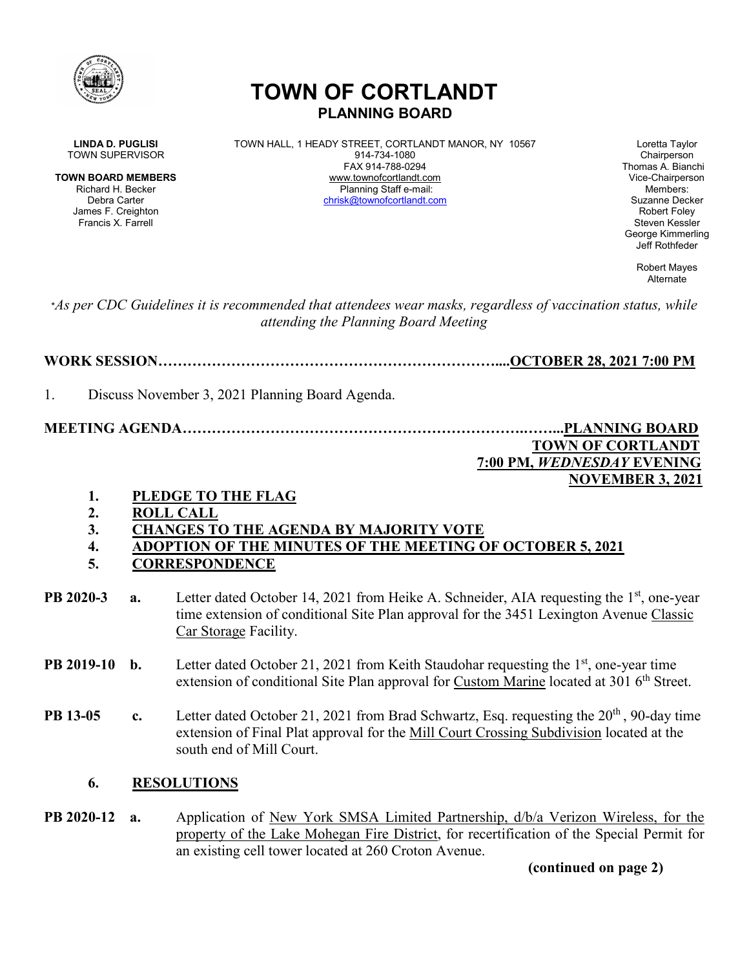

# **TOWN OF CORTLANDT PLANNING BOARD**

James F. Creighton Francis X. Farrell Steven Kessler New York 1999, Steven Kessler New York 1999, Steven Kessler

**LINDA D. PUGLISI** TOWN HALL, 1 HEADY STREET, CORTLANDT MANOR, NY 10567 Loretta Taylor<br>Town SUPERVISOR Chairperson 914-734-1080 TOWN SUPERVISOR 814-734-1080<br>FAX 914-788-0294 **TOWN BOARD MEMBERS** www.townofcortlandt.com www.townofcontlandt.com Vice-Chairperson<br>Richard H. Becker **Blanning Staff e-mail** Richard H. Becker Planning Staff e-mail: Members: Debra Carter [chrisk@townofcortlandt.com](mailto:chrisk@townofcortlandt.com) Suzanne Decker

Thomas A. Bianchi George Kimmerling Jeff Rothfeder

> Robert Mayes Alternate

\**As per CDC Guidelines it is recommended that attendees wear masks, regardless of vaccination status, while attending the Planning Board Meeting*

**WORK SESSION……………………………………………………………....OCTOBER 28, 2021 7:00 PM**

1. Discuss November 3, 2021 Planning Board Agenda.

**MEETING AGENDA…………………………………………………………….……...PLANNING BOARD TOWN OF CORTLANDT 7:00 PM,** *WEDNESDAY* **EVENING**

## **NOVEMBER 3, 2021**

- **1. PLEDGE TO THE FLAG**
- **2. ROLL CALL**
- **3. CHANGES TO THE AGENDA BY MAJORITY VOTE**
- **4. ADOPTION OF THE MINUTES OF THE MEETING OF OCTOBER 5, 2021**
- **5. CORRESPONDENCE**
- **PB 2020-3** a. Letter dated October 14, 2021 from Heike A. Schneider, AIA requesting the 1<sup>st</sup>, one-year time extension of conditional Site Plan approval for the 3451 Lexington Avenue Classic Car Storage Facility.
- **PB 2019-10 b.** Letter dated October 21, 2021 from Keith Staudohar requesting the 1<sup>st</sup>, one-year time extension of conditional Site Plan approval for Custom Marine located at 301 6<sup>th</sup> Street.
- **PB 13-05 c.** Letter dated October 21, 2021 from Brad Schwartz, Esq. requesting the 20<sup>th</sup>, 90-day time extension of Final Plat approval for the Mill Court Crossing Subdivision located at the south end of Mill Court.
	- **6. RESOLUTIONS**
- **PB 2020-12 a.** Application of New York SMSA Limited Partnership, d/b/a Verizon Wireless, for the property of the Lake Mohegan Fire District, for recertification of the Special Permit for an existing cell tower located at 260 Croton Avenue.

**(continued on page 2)**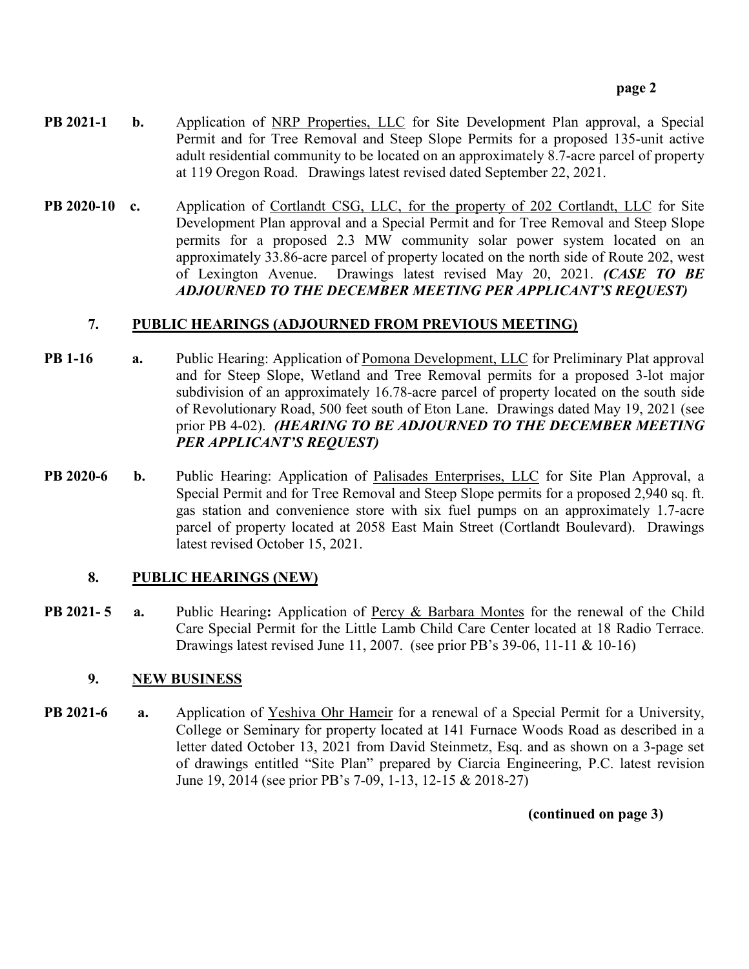- **PB 2021-1 b.** Application of NRP Properties, LLC for Site Development Plan approval, a Special Permit and for Tree Removal and Steep Slope Permits for a proposed 135-unit active adult residential community to be located on an approximately 8.7-acre parcel of property at 119 Oregon Road. Drawings latest revised dated September 22, 2021.
- **PB 2020-10 c.** Application of Cortlandt CSG, LLC, for the property of 202 Cortlandt, LLC for Site Development Plan approval and a Special Permit and for Tree Removal and Steep Slope permits for a proposed 2.3 MW community solar power system located on an approximately 33.86-acre parcel of property located on the north side of Route 202, west of Lexington Avenue. Drawings latest revised May 20, 2021. *(CASE TO BE ADJOURNED TO THE DECEMBER MEETING PER APPLICANT'S REQUEST)*

## **7. PUBLIC HEARINGS (ADJOURNED FROM PREVIOUS MEETING)**

- **PB 1-16 a.** Public Hearing: Application of Pomona Development, LLC for Preliminary Plat approval and for Steep Slope, Wetland and Tree Removal permits for a proposed 3-lot major subdivision of an approximately 16.78-acre parcel of property located on the south side of Revolutionary Road, 500 feet south of Eton Lane. Drawings dated May 19, 2021 (see prior PB 4-02). *(HEARING TO BE ADJOURNED TO THE DECEMBER MEETING PER APPLICANT'S REQUEST)*
- **PB 2020-6 b.** Public Hearing: Application of Palisades Enterprises, LLC for Site Plan Approval, a Special Permit and for Tree Removal and Steep Slope permits for a proposed 2,940 sq. ft. gas station and convenience store with six fuel pumps on an approximately 1.7-acre parcel of property located at 2058 East Main Street (Cortlandt Boulevard). Drawings latest revised October 15, 2021.

## **8. PUBLIC HEARINGS (NEW)**

**PB 2021- 5 a.** Public Hearing**:** Application of Percy & Barbara Montes for the renewal of the Child Care Special Permit for the Little Lamb Child Care Center located at 18 Radio Terrace. Drawings latest revised June 11, 2007. (see prior PB's 39-06, 11-11 & 10-16)

## **9. NEW BUSINESS**

**PB 2021-6 a.** Application of Yeshiva Ohr Hameir for a renewal of a Special Permit for a University, College or Seminary for property located at 141 Furnace Woods Road as described in a letter dated October 13, 2021 from David Steinmetz, Esq. and as shown on a 3-page set of drawings entitled "Site Plan" prepared by Ciarcia Engineering, P.C. latest revision June 19, 2014 (see prior PB's 7-09, 1-13, 12-15 & 2018-27)

**(continued on page 3)**